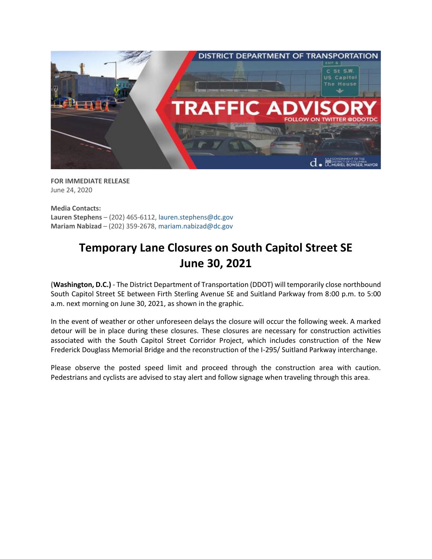

**FOR IMMEDIATE RELEASE** June 24, 2020

**Media Contacts: Lauren Stephens** – (202) 465-6112, [lauren.stephens@dc.gov](mailto:lauren.stephens@dc.gov) **Mariam Nabizad** – (202) 359-2678, [mariam.nabizad@dc.gov](mailto:mariam.nabizad@dc.gov)

## **Temporary Lane Closures on South Capitol Street SE June 30, 2021**

**(Washington, D.C.)** - The District Department of Transportation (DDOT) will temporarily close northbound South Capitol Street SE between Firth Sterling Avenue SE and Suitland Parkway from 8:00 p.m. to 5:00 a.m. next morning on June 30, 2021, as shown in the graphic.

In the event of weather or other unforeseen delays the closure will occur the following week. A marked detour will be in place during these closures. These closures are necessary for construction activities associated with the South Capitol Street Corridor Project, which includes construction of the New Frederick Douglass Memorial Bridge and the reconstruction of the I-295/ Suitland Parkway interchange.

Please observe the posted speed limit and proceed through the construction area with caution. Pedestrians and cyclists are advised to stay alert and follow signage when traveling through this area.